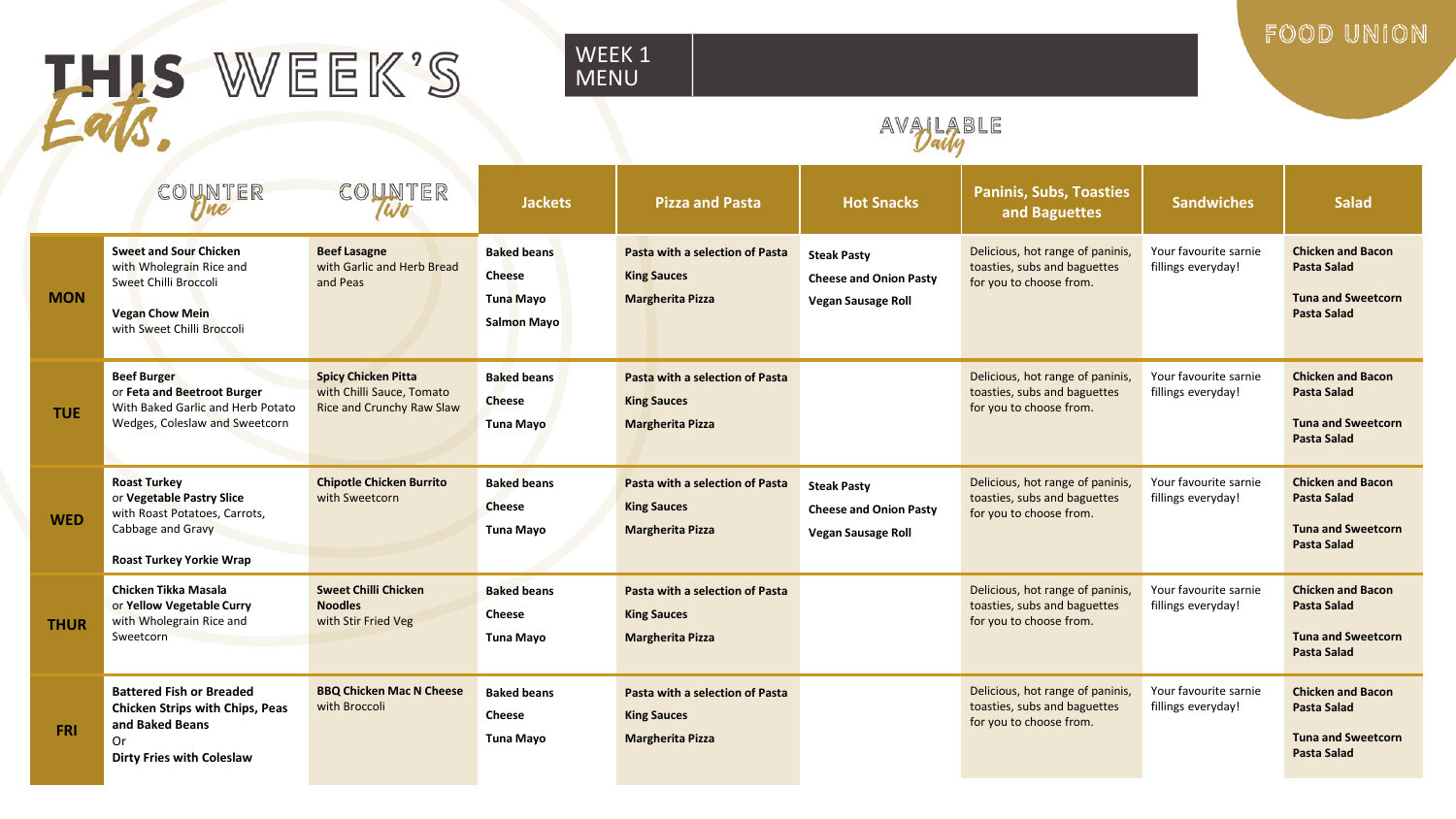## HIS WEEK'S

#### WEEK 1 MENU

### AVALABLE

FOOD UNION

|             | COUNTER<br>rine                                                                                                                            | COUNTER<br>Wo                                                                        | <b>Jackets</b>                                                  | <b>Pizza and Pasta</b>                                                           | <b>Hot Snacks</b>                                                                | <b>Paninis, Subs, Toasties</b><br>and Baguettes                                             | <b>Sandwiches</b>                           | <b>Salad</b>                                                                                      |
|-------------|--------------------------------------------------------------------------------------------------------------------------------------------|--------------------------------------------------------------------------------------|-----------------------------------------------------------------|----------------------------------------------------------------------------------|----------------------------------------------------------------------------------|---------------------------------------------------------------------------------------------|---------------------------------------------|---------------------------------------------------------------------------------------------------|
| <b>MON</b>  | <b>Sweet and Sour Chicken</b><br>with Wholegrain Rice and<br>Sweet Chilli Broccoli<br><b>Vegan Chow Mein</b><br>with Sweet Chilli Broccoli | <b>Beef Lasagne</b><br>with Garlic and Herb Bread<br>and Peas                        | <b>Baked beans</b><br>Cheese<br>Tuna Mayo<br><b>Salmon Mayo</b> | Pasta with a selection of Pasta<br><b>King Sauces</b><br><b>Margherita Pizza</b> | <b>Steak Pasty</b><br><b>Cheese and Onion Pasty</b><br><b>Vegan Sausage Roll</b> | Delicious, hot range of paninis<br>toasties, subs and baguettes<br>for you to choose from.  | Your favourite sarnie<br>fillings everyday! | <b>Chicken and Bacon</b><br><b>Pasta Salad</b><br><b>Tuna and Sweetcorn</b><br><b>Pasta Salad</b> |
| <b>TUE</b>  | <b>Beef Burger</b><br>or Feta and Beetroot Burger<br>With Baked Garlic and Herb Potato<br>Wedges, Coleslaw and Sweetcorn                   | <b>Spicy Chicken Pitta</b><br>with Chilli Sauce, Tomato<br>Rice and Crunchy Raw Slaw | <b>Baked beans</b><br><b>Cheese</b><br><b>Tuna Mayo</b>         | Pasta with a selection of Pasta<br><b>King Sauces</b><br><b>Margherita Pizza</b> |                                                                                  | Delicious, hot range of paninis<br>toasties, subs and baguettes<br>for you to choose from.  | Your favourite sarnie<br>fillings everyday! | <b>Chicken and Bacon</b><br><b>Pasta Salad</b><br><b>Tuna and Sweetcorn</b><br><b>Pasta Salad</b> |
| <b>WED</b>  | <b>Roast Turkey</b><br>or Vegetable Pastry Slice<br>with Roast Potatoes, Carrots,<br>Cabbage and Gravy<br><b>Roast Turkey Yorkie Wrap</b>  | <b>Chipotle Chicken Burrito</b><br>with Sweetcorn                                    | <b>Baked beans</b><br><b>Cheese</b><br>Tuna Mayo                | Pasta with a selection of Pasta<br><b>King Sauces</b><br><b>Margherita Pizza</b> | <b>Steak Pasty</b><br><b>Cheese and Onion Pasty</b><br><b>Vegan Sausage Roll</b> | Delicious, hot range of paninis,<br>toasties, subs and baguettes<br>for you to choose from. | Your favourite sarnie<br>fillings everyday! | <b>Chicken and Bacon</b><br>Pasta Salad<br><b>Tuna and Sweetcorn</b><br><b>Pasta Salad</b>        |
| <b>THUR</b> | Chicken Tikka Masala<br>or Yellow Vegetable Curry<br>with Wholegrain Rice and<br>Sweetcorn                                                 | <b>Sweet Chilli Chicken</b><br><b>Noodles</b><br>with Stir Fried Veg                 | <b>Baked beans</b><br><b>Cheese</b><br>Tuna Mayo                | Pasta with a selection of Pasta<br><b>King Sauces</b><br><b>Margherita Pizza</b> |                                                                                  | Delicious, hot range of paninis,<br>toasties, subs and baguettes<br>for you to choose from. | Your favourite sarnie<br>fillings everyday! | <b>Chicken and Bacon</b><br>Pasta Salad<br><b>Tuna and Sweetcorn</b><br><b>Pasta Salad</b>        |
| <b>FRI</b>  | <b>Battered Fish or Breaded</b><br><b>Chicken Strips with Chips, Peas</b><br>and Baked Beans<br>0r<br><b>Dirty Fries with Coleslaw</b>     | <b>BBQ Chicken Mac N Cheese</b><br>with Broccoli                                     | <b>Baked beans</b><br>Cheese<br>Tuna Mayo                       | Pasta with a selection of Pasta<br><b>King Sauces</b><br><b>Margherita Pizza</b> |                                                                                  | Delicious, hot range of paninis<br>toasties, subs and baguettes<br>for you to choose from.  | Your favourite sarnie<br>fillings everyday! | <b>Chicken and Bacon</b><br><b>Pasta Salad</b><br><b>Tuna and Sweetcorn</b><br><b>Pasta Salad</b> |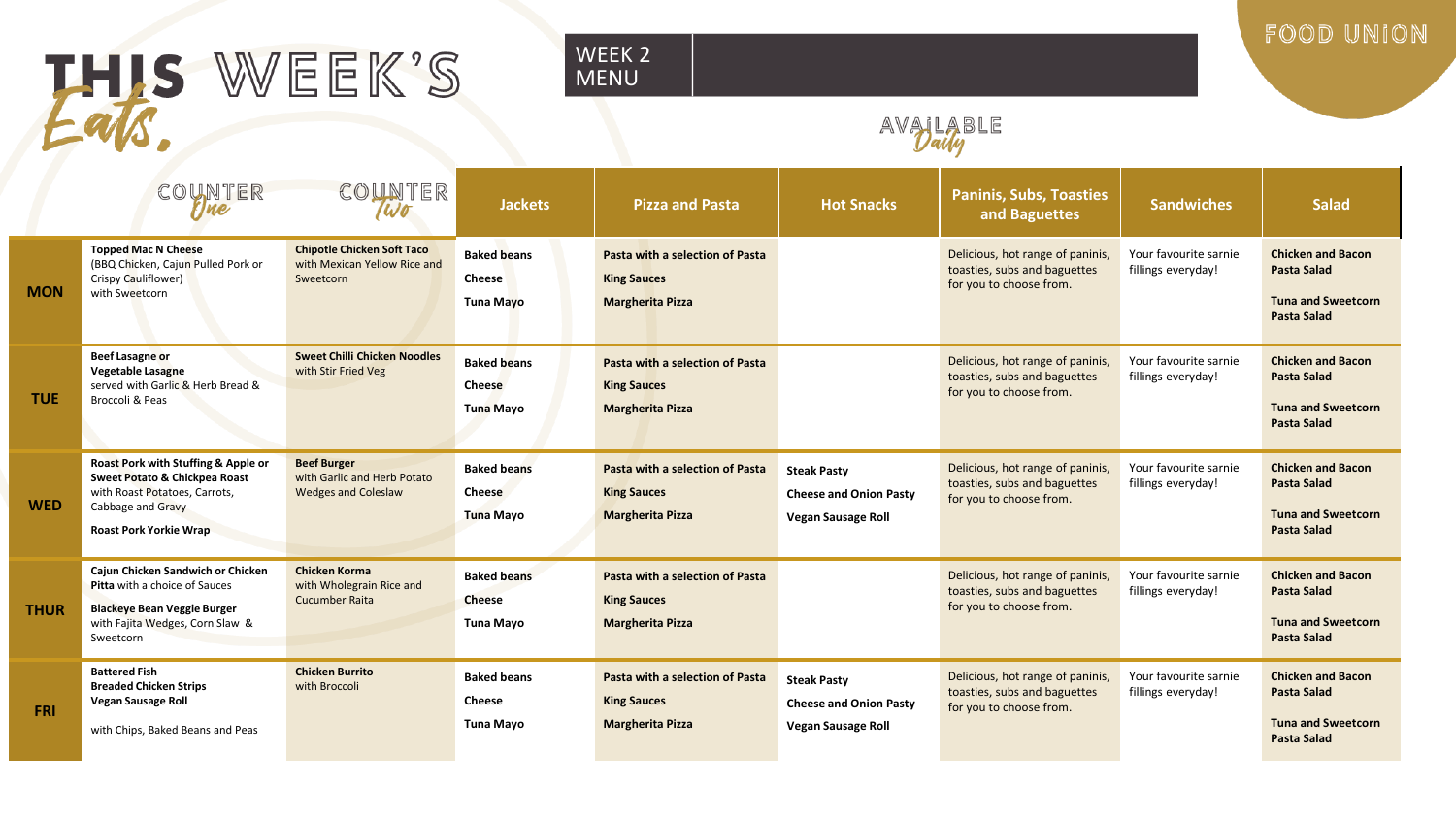## HIS WEEK'S

#### WEEK 2 MENU

FOOD UNION

### AVAILABLE

|             | COUNTER<br>rine                                                                                                                                             | COUNTER<br>Wo                                                                   | <b>Jackets</b>                                          | <b>Pizza and Pasta</b>                                                           | <b>Hot Snacks</b>                                                                | <b>Paninis, Subs, Toasties</b><br>and Baguettes                                             | <b>Sandwiches</b>                           | <b>Salad</b>                                                                                      |
|-------------|-------------------------------------------------------------------------------------------------------------------------------------------------------------|---------------------------------------------------------------------------------|---------------------------------------------------------|----------------------------------------------------------------------------------|----------------------------------------------------------------------------------|---------------------------------------------------------------------------------------------|---------------------------------------------|---------------------------------------------------------------------------------------------------|
| <b>MON</b>  | <b>Topped Mac N Cheese</b><br>(BBQ Chicken, Cajun Pulled Pork or<br>Crispy Cauliflower)<br>with Sweetcorn                                                   | <b>Chipotle Chicken Soft Taco</b><br>with Mexican Yellow Rice and<br>Sweetcorn  | <b>Baked beans</b><br><b>Cheese</b><br>Tuna Mayo        | Pasta with a selection of Pasta<br><b>King Sauces</b><br><b>Margherita Pizza</b> |                                                                                  | Delicious, hot range of paninis,<br>toasties, subs and baguettes<br>for you to choose from. | Your favourite sarnie<br>fillings everyday! | <b>Chicken and Bacon</b><br><b>Pasta Salad</b><br><b>Tuna and Sweetcorn</b><br><b>Pasta Salad</b> |
| <b>TUE</b>  | <b>Beef Lasagne or</b><br>Vegetable Lasagne<br>served with Garlic & Herb Bread &<br>Broccoli & Peas                                                         | <b>Sweet Chilli Chicken Noodles</b><br>with Stir Fried Veg                      | <b>Baked beans</b><br><b>Cheese</b><br>Tuna Mayo        | Pasta with a selection of Pasta<br><b>King Sauces</b><br><b>Margherita Pizza</b> |                                                                                  | Delicious, hot range of paninis,<br>toasties, subs and baguettes<br>for you to choose from. | Your favourite sarnie<br>fillings everyday! | <b>Chicken and Bacon</b><br><b>Pasta Salad</b><br><b>Tuna and Sweetcorn</b><br><b>Pasta Salad</b> |
| <b>WED</b>  | Roast Pork with Stuffing & Apple or<br>Sweet Potato & Chickpea Roast<br>with Roast Potatoes, Carrots,<br>Cabbage and Gravy<br><b>Roast Pork Yorkie Wrap</b> | <b>Beef Burger</b><br>with Garlic and Herb Potato<br><b>Wedges and Coleslaw</b> | <b>Baked beans</b><br>Cheese<br><b>Tuna Mayo</b>        | Pasta with a selection of Pasta<br><b>King Sauces</b><br><b>Margherita Pizza</b> | <b>Steak Pasty</b><br><b>Cheese and Onion Pasty</b><br><b>Vegan Sausage Roll</b> | Delicious, hot range of paninis,<br>toasties, subs and baguettes<br>for you to choose from. | Your favourite sarnie<br>fillings everyday! | <b>Chicken and Bacon</b><br><b>Pasta Salad</b><br><b>Tuna and Sweetcorn</b><br><b>Pasta Salad</b> |
| <b>THUR</b> | Cajun Chicken Sandwich or Chicken<br>Pitta with a choice of Sauces<br><b>Blackeye Bean Veggie Burger</b><br>with Fajita Wedges, Corn Slaw &<br>Sweetcorn    | <b>Chicken Korma</b><br>with Wholegrain Rice and<br>Cucumber Raita              | <b>Baked beans</b><br><b>Cheese</b><br><b>Tuna Mayo</b> | Pasta with a selection of Pasta<br><b>King Sauces</b><br><b>Margherita Pizza</b> |                                                                                  | Delicious, hot range of paninis,<br>toasties, subs and baguettes<br>for you to choose from. | Your favourite sarnie<br>fillings everyday! | <b>Chicken and Bacon</b><br><b>Pasta Salad</b><br><b>Tuna and Sweetcorn</b><br><b>Pasta Salad</b> |
| <b>FRI</b>  | <b>Battered Fish</b><br><b>Breaded Chicken Strips</b><br>Vegan Sausage Roll<br>with Chips, Baked Beans and Peas                                             | <b>Chicken Burrito</b><br>with Broccoli                                         | <b>Baked beans</b><br><b>Cheese</b><br><b>Tuna Mayo</b> | Pasta with a selection of Pasta<br><b>King Sauces</b><br><b>Margherita Pizza</b> | <b>Steak Pasty</b><br><b>Cheese and Onion Pasty</b><br><b>Vegan Sausage Roll</b> | Delicious, hot range of paninis,<br>toasties, subs and baguettes<br>for you to choose from. | Your favourite sarnie<br>fillings everyday! | <b>Chicken and Bacon</b><br><b>Pasta Salad</b><br><b>Tuna and Sweetcorn</b><br><b>Pasta Salad</b> |